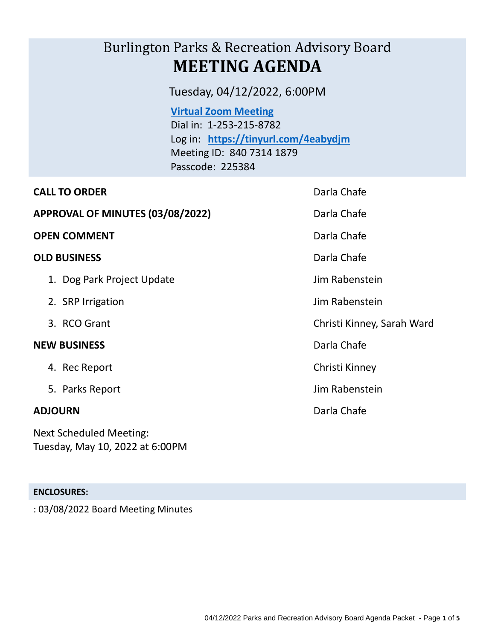# Burlington Parks & Recreation Advisory Board **MEETING AGENDA**

Tuesday, 04/12/2022, 6:00PM

**[Virtual Zoom Meeting](https://us02web.zoom.us/j/84073141879?pwd=S0xuNTVkZnlPSWRwZWVZTEZoV2I4QT09)** Dial in: 1-253-215-8782 Log in: **https://tinyurl.com/4eabydjm** Meeting ID: 840 7314 1879 Passcode: 225384

# **CALL TO ORDER APPROVAL OF MINUTES (03/08/2022) OPEN COMMENT OLD BUSINESS** 1. Dog Park Project Update 2. SRP Irrigation 3. RCO Grant **NEW BUSINESS** 4. Rec Report 5. Parks Report **ADJOURN**

Next Scheduled Meeting: Tuesday, May 10, 2022 at 6:00PM

# **ENCLOSURES:**

: 03/08/2022 Board Meeting Minutes

Darla Chafe Darla Chafe Darla Chafe Darla Chafe Jim Rabenstein Jim Rabenstein Christi Kinney, Sarah Ward Darla Chafe Christi Kinney Jim Rabenstein Darla Chafe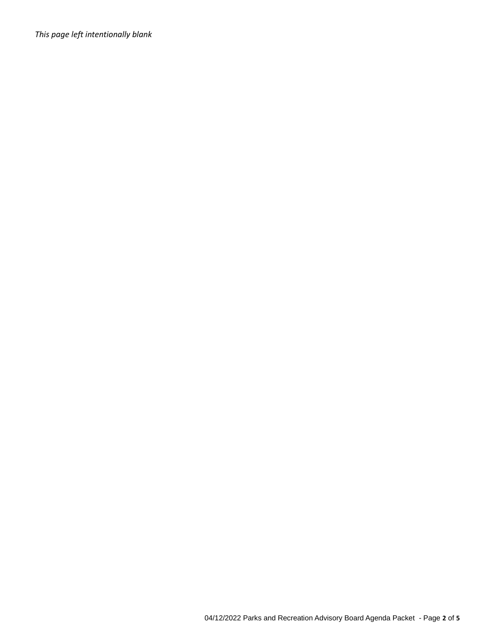*This page left intentionally blank*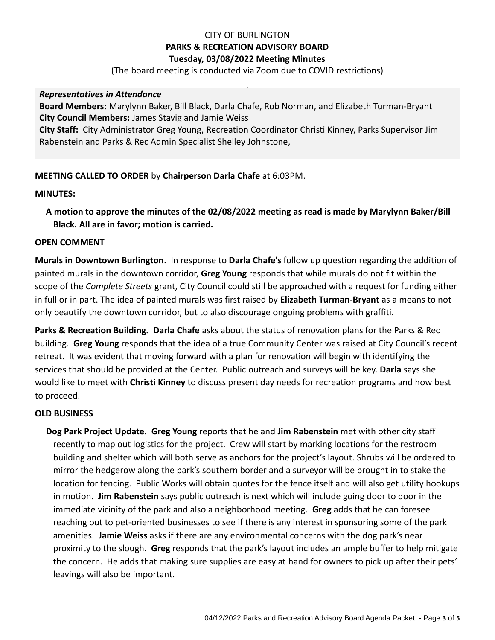# CITY OF BURLINGTON **PARKS & RECREATION ADVISORY BOARD Tuesday, 03/08/2022 Meeting Minutes**

(The board meeting is conducted via Zoom due to COVID restrictions)

#### *Representatives in Attendance*

**Board Members:** Marylynn Baker, Bill Black, Darla Chafe, Rob Norman, and Elizabeth Turman-Bryant **City Council Members:** James Stavig and Jamie Weiss

**City Staff:** City Administrator Greg Young, Recreation Coordinator Christi Kinney, Parks Supervisor Jim Rabenstein and Parks & Rec Admin Specialist Shelley Johnstone,

### **MEETING CALLED TO ORDER** by **Chairperson Darla Chafe** at 6:03PM.

#### **MINUTES:**

**A motion to approve the minutes of the 02/08/2022 meeting as read is made by Marylynn Baker/Bill Black. All are in favor; motion is carried.**

#### **OPEN COMMENT**

**Murals in Downtown Burlington**. In response to **Darla Chafe's** follow up question regarding the addition of painted murals in the downtown corridor, **Greg Young** responds that while murals do not fit within the scope of the *Complete Streets* grant, City Council could still be approached with a request for funding either in full or in part. The idea of painted murals was first raised by **Elizabeth Turman-Bryant** as a means to not only beautify the downtown corridor, but to also discourage ongoing problems with graffiti.

**Parks & Recreation Building. Darla Chafe** asks about the status of renovation plans for the Parks & Rec building. **Greg Young** responds that the idea of a true Community Center was raised at City Council's recent retreat. It was evident that moving forward with a plan for renovation will begin with identifying the services that should be provided at the Center. Public outreach and surveys will be key. **Darla** says she would like to meet with **Christi Kinney** to discuss present day needs for recreation programs and how best to proceed.

#### **OLD BUSINESS**

**Dog Park Project Update. Greg Young** reports that he and **Jim Rabenstein** met with other city staff recently to map out logistics for the project. Crew will start by marking locations for the restroom building and shelter which will both serve as anchors for the project's layout. Shrubs will be ordered to mirror the hedgerow along the park's southern border and a surveyor will be brought in to stake the location for fencing. Public Works will obtain quotes for the fence itself and will also get utility hookups in motion. **Jim Rabenstein** says public outreach is next which will include going door to door in the immediate vicinity of the park and also a neighborhood meeting. **Greg** adds that he can foresee reaching out to pet-oriented businesses to see if there is any interest in sponsoring some of the park amenities. **Jamie Weiss** asks if there are any environmental concerns with the dog park's near proximity to the slough. **Greg** responds that the park's layout includes an ample buffer to help mitigate the concern. He adds that making sure supplies are easy at hand for owners to pick up after their pets' leavings will also be important.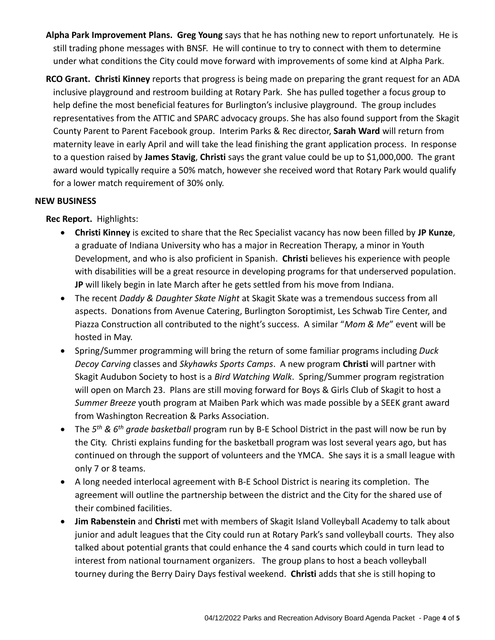- **Alpha Park Improvement Plans. Greg Young** says that he has nothing new to report unfortunately. He is still trading phone messages with BNSF. He will continue to try to connect with them to determine under what conditions the City could move forward with improvements of some kind at Alpha Park.
- **RCO Grant. Christi Kinney** reports that progress is being made on preparing the grant request for an ADA inclusive playground and restroom building at Rotary Park. She has pulled together a focus group to help define the most beneficial features for Burlington's inclusive playground. The group includes representatives from the ATTIC and SPARC advocacy groups. She has also found support from the Skagit County Parent to Parent Facebook group. Interim Parks & Rec director, **Sarah Ward** will return from maternity leave in early April and will take the lead finishing the grant application process. In response to a question raised by **James Stavig**, **Christi** says the grant value could be up to \$1,000,000. The grant award would typically require a 50% match, however she received word that Rotary Park would qualify for a lower match requirement of 30% only.

#### **NEW BUSINESS**

**Rec Report.** Highlights:

- **Christi Kinney** is excited to share that the Rec Specialist vacancy has now been filled by **JP Kunze**, a graduate of Indiana University who has a major in Recreation Therapy, a minor in Youth Development, and who is also proficient in Spanish. **Christi** believes his experience with people with disabilities will be a great resource in developing programs for that underserved population. **JP** will likely begin in late March after he gets settled from his move from Indiana.
- The recent *Daddy & Daughter Skate Night* at Skagit Skate was a tremendous success from all aspects. Donations from Avenue Catering, Burlington Soroptimist, Les Schwab Tire Center, and Piazza Construction all contributed to the night's success. A similar "*Mom & Me*" event will be hosted in May.
- Spring/Summer programming will bring the return of some familiar programs including *Duck Decoy Carving* classes and *Skyhawks Sports Camps*. A new program **Christi** will partner with Skagit Audubon Society to host is a *Bird Watching Walk*. Spring/Summer program registration will open on March 23. Plans are still moving forward for Boys & Girls Club of Skagit to host a *Summer Breeze* youth program at Maiben Park which was made possible by a SEEK grant award from Washington Recreation & Parks Association.
- The *5 th & 6th grade basketball* program run by B-E School District in the past will now be run by the City. Christi explains funding for the basketball program was lost several years ago, but has continued on through the support of volunteers and the YMCA. She says it is a small league with only 7 or 8 teams.
- A long needed interlocal agreement with B-E School District is nearing its completion. The agreement will outline the partnership between the district and the City for the shared use of their combined facilities.
- **Jim Rabenstein** and **Christi** met with members of Skagit Island Volleyball Academy to talk about junior and adult leagues that the City could run at Rotary Park's sand volleyball courts. They also talked about potential grants that could enhance the 4 sand courts which could in turn lead to interest from national tournament organizers. The group plans to host a beach volleyball tourney during the Berry Dairy Days festival weekend. **Christi** adds that she is still hoping to